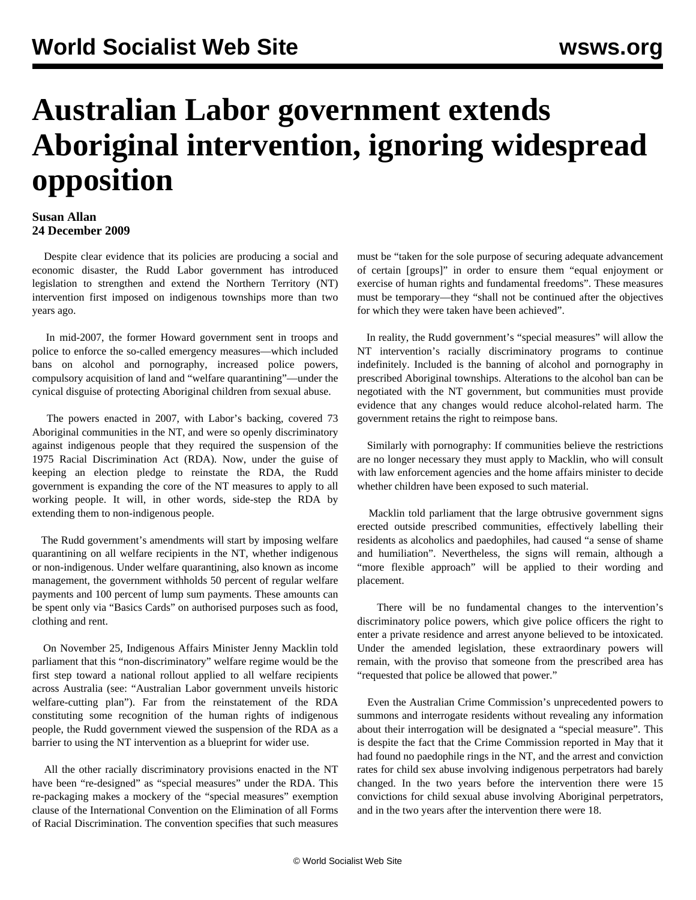## **Australian Labor government extends Aboriginal intervention, ignoring widespread opposition**

## **Susan Allan 24 December 2009**

 Despite clear evidence that its policies are producing a social and economic disaster, the Rudd Labor government has introduced legislation to strengthen and extend the Northern Territory (NT) intervention first imposed on indigenous townships more than two years ago.

 In mid-2007, the former Howard government sent in troops and police to enforce the so-called emergency measures—which included bans on alcohol and pornography, increased police powers, compulsory acquisition of land and "welfare quarantining"—under the cynical disguise of protecting Aboriginal children from sexual abuse.

 The powers enacted in 2007, with Labor's backing, covered 73 Aboriginal communities in the NT, and were so openly discriminatory against indigenous people that they required the suspension of the 1975 Racial Discrimination Act (RDA). Now, under the guise of keeping an election pledge to reinstate the RDA, the Rudd government is expanding the core of the NT measures to apply to all working people. It will, in other words, side-step the RDA by extending them to non-indigenous people.

 The Rudd government's amendments will start by imposing welfare quarantining on all welfare recipients in the NT, whether indigenous or non-indigenous. Under welfare quarantining, also known as income management, the government withholds 50 percent of regular welfare payments and 100 percent of lump sum payments. These amounts can be spent only via "Basics Cards" on authorised purposes such as food, clothing and rent.

 On November 25, Indigenous Affairs Minister Jenny Macklin told parliament that this "non-discriminatory" welfare regime would be the first step toward a national rollout applied to all welfare recipients across Australia (see: "[Australian Labor government unveils historic](/en/articles/2009/dec2009/welf-d07.shtml) [welfare-cutting plan](/en/articles/2009/dec2009/welf-d07.shtml)"). Far from the reinstatement of the RDA constituting some recognition of the human rights of indigenous people, the Rudd government viewed the suspension of the RDA as a barrier to using the NT intervention as a blueprint for wider use.

 All the other racially discriminatory provisions enacted in the NT have been "re-designed" as "special measures" under the RDA. This re-packaging makes a mockery of the "special measures" exemption clause of the International Convention on the Elimination of all Forms of Racial Discrimination. The convention specifies that such measures

must be "taken for the sole purpose of securing adequate advancement of certain [groups]" in order to ensure them "equal enjoyment or exercise of human rights and fundamental freedoms". These measures must be temporary—they "shall not be continued after the objectives for which they were taken have been achieved".

 In reality, the Rudd government's "special measures" will allow the NT intervention's racially discriminatory programs to continue indefinitely. Included is the banning of alcohol and pornography in prescribed Aboriginal townships. Alterations to the alcohol ban can be negotiated with the NT government, but communities must provide evidence that any changes would reduce alcohol-related harm. The government retains the right to reimpose bans.

 Similarly with pornography: If communities believe the restrictions are no longer necessary they must apply to Macklin, who will consult with law enforcement agencies and the home affairs minister to decide whether children have been exposed to such material.

 Macklin told parliament that the large obtrusive government signs erected outside prescribed communities, effectively labelling their residents as alcoholics and paedophiles, had caused "a sense of shame and humiliation". Nevertheless, the signs will remain, although a "more flexible approach" will be applied to their wording and placement.

 There will be no fundamental changes to the intervention's discriminatory police powers, which give police officers the right to enter a private residence and arrest anyone believed to be intoxicated. Under the amended legislation, these extraordinary powers will remain, with the proviso that someone from the prescribed area has "requested that police be allowed that power."

 Even the Australian Crime Commission's unprecedented powers to summons and interrogate residents without revealing any information about their interrogation will be designated a "special measure". This is despite the fact that the Crime Commission reported in May that it had found no paedophile rings in the NT, and the arrest and conviction rates for child sex abuse involving indigenous perpetrators had barely changed. In the two years before the intervention there were 15 convictions for child sexual abuse involving Aboriginal perpetrators, and in the two years after the intervention there were 18.